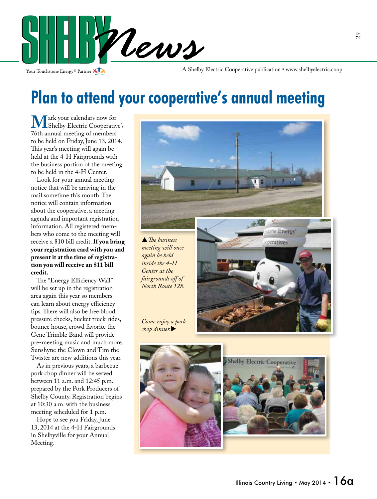

Your Touchstone Energy<sup>®</sup> Partner

A Shelby Electric Cooperative publication • www.shelbyelectric.coop

## **Plan to attend your cooperative's annual meeting**

**Mark your calendars now for<br>
The Shelby Electric Cooperative's<br>
The annual meeting of members** 76th annual meeting of members to be held on Friday, June 13, 2014. This year's meeting will again be held at the 4-H Fairgrounds with the business portion of the meeting to be held in the 4-H Center.

 Look for your annual meeting notice that will be arriving in the mail sometime this month. The notice will contain information about the cooperative, a meeting agenda and important registration information. All registered members who come to the meeting will receive a \$10 bill credit. **If you bring your registration card with you and present it at the time of registration you will receive an \$11 bill credit.**

 The "Energy Efficiency Wall" will be set up in the registration area again this year so members can learn about energy efficiency tips. There will also be free blood pressure checks, bucket truck rides, bounce house, crowd favorite the Gene Trimble Band will provide pre-meeting music and much more. Sunshyne the Clown and Tim the Twister are new additions this year.

 As in previous years, a barbecue pork chop dinner will be served between 11 a.m. and 12:45 p.m. prepared by the Pork Producers of Shelby County. Registration begins at 10:30 a.m. with the business meeting scheduled for 1 p.m.

 Hope to see you Friday, June 13, 2014 at the 4-H Fairgrounds in Shelbyville for your Annual Meeting.



*The business meeting will once again be held inside the 4-H Center at the fairgrounds off of North Route 128.*



*Come enjoy a pork chop dinner.*

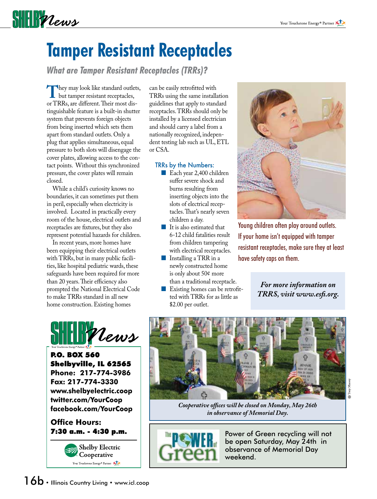# **SHELF** Vews

## **Tamper Resistant Receptacles**

*What are Tamper Resistant Receptacles (TRRs)?*

**They may look like standard outlets,<br>
but tamper resistant receptacles,<br>
or TRRs are different Their most dis**or TRRs, are different. Their most distinguishable feature is a built-in shutter system that prevents foreign objects from being inserted which sets them apart from standard outlets. Only a plug that applies simultaneous, equal pressure to both slots will disengage the cover plates, allowing access to the contact points. Without this synchronized pressure, the cover plates will remain closed.

 While a child's curiosity knows no boundaries, it can sometimes put them in peril, especially when electricity is involved. Located in practically every room of the house, electrical outlets and receptacles are fixtures, but they also represent potential hazards for children.

 In recent years, more homes have been equipping their electrical outlets with TRRs, but in many public facilities, like hospital pediatric wards, these safeguards have been required for more than 20 years. Their efficiency also prompted the National Electrical Code to make TRRs standard in all new home construction. Existing homes



P.O. BOX 560 Shelbyville, IL 62565 **Phone: 217-774-3986 Fax: 217-774-3330 www.shelbyelectric.coop twitter.com/YourCoop facebook.com/YourCoop**

**Office Hours:**



can be easily retrofitted with TRRs using the same installation guidelines that apply to standard receptacles. TRRs should only be installed by a licensed electrician and should carry a label from a nationally recognized, independent testing lab such as UL, ETL or CSA.

#### TRRs by the Numbers:

- Each year 2,400 children suffer severe shock and burns resulting from inserting objects into the slots of electrical receptacles. That's nearly seven children a day.
- It is also estimated that 6-12 child fatalities result from children tampering with electrical receptacles.
- **Installing a TRR** in a newly constructed home is only about 50¢ more
- than a traditional receptacle. Existing homes can be retrofitted with TRRs for as little as \$2.00 per outlet.



Young children often play around outlets. If your home isn't equipped with tamper resistant receptacles, make sure they at least have safety caps on them.

> *For more information on TRRS, visit www.esfi.org.*



 $\operatorname{Tom}$ ි

*Cooperative offices will be closed on Monday, May 26th in observance of Memorial Day.*



7:30  $a.m. - 4:30$   $p.m.$  **Reperience** Power of Green recycling will not be open Saturday, May 24th in observance of Memorial Day weekend.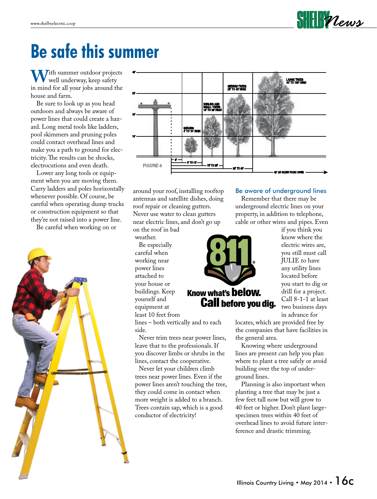

#### **Be safe this summer** city forester, county horticulturist, or your local nursery specialist.

**W**ith summer outdoor projects well underway, keep safety in mind for all your jobs around the house and farm.

 Be sure to look up as you head outdoors and always be aware of power lines that could create a hazard. Long metal tools like ladders, pool skimmers and pruning poles could contact overhead lines and make you a path to ground for electricity. The results can be shocks, electrocutions and even death.

 Lower any long tools or equipment when you are moving them. Carry ladders and poles horizontally whenever possible. Of course, be careful when operating dump trucks or construction equipment so that they're not raised into a power line.

Be careful when working on or





around your roof, installing rooftop antennas and satellite dishes, doing roof repair or cleaning gutters. Never use water to clean gutters near electric lines, and don't go up on the roof in bad

are hardy for locations throughout the area served by the area served by the area served by the area served by the area served by the area served by the area served by the area served by the area served by the area served

 Never trim trees near power lines, leave that to the professionals. If you discover limbs or shrubs in the lines, contact the cooperative. Never let your children climb trees near power lines. Even if the power lines aren't touching the tree, they could come in contact when more weight is added to a branch. Trees contain sap, which is a good

conductor of electricity!

weather.

 Be especially careful when working near power lines attached to your house or buildings. Keep yourself and equipment at least 10 feet from lines – both vertically and to each

side.

# **Know what's below. Call before you dig.**

#### Be aware of underground lines

 Remember that there may be underground electric lines on your property, in addition to telephone, cable or other wires and pipes. Even

if you think you know where the electric wires are, you still must call JULIE to have any utility lines located before you start to dig or drill for a project. Call 8-1-1 at least two business days in advance for

locates, which are provided free by the companies that have facilities in the general area.

 Knowing where underground lines are present can help you plan where to plant a tree safely or avoid building over the top of underground lines.

 Planning is also important when planting a tree that may be just a few feet tall now but will grow to 40 feet or higher. Don't plant largespecimen trees within 40 feet of overhead lines to avoid future interference and drastic trimming.